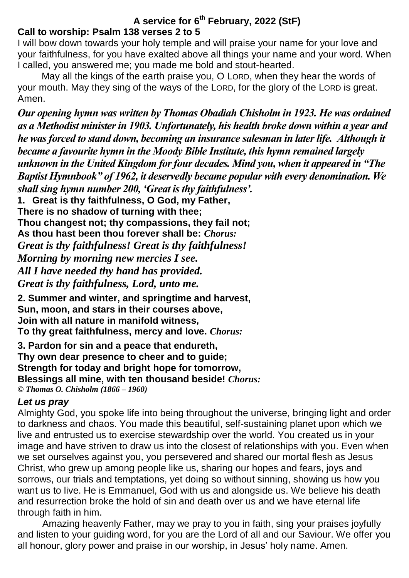### **A service for 6 th February, 2022 (StF) Call to worship: Psalm 138 verses 2 to 5**

I will bow down towards your holy temple and will praise your name for your love and your faithfulness, for you have exalted above all things your name and your word. When I called, you answered me; you made me bold and stout-hearted.

 May all the kings of the earth praise you, O LORD, when they hear the words of your mouth. May they sing of the ways of the LORD, for the glory of the LORD is great. Amen.

*Our opening hymn was written by Thomas Obadiah Chisholm in 1923. He was ordained as a Methodist minister in 1903. Unfortunately, his health broke down within a year and he was forced to stand down, becoming an insurance salesman in later life. Although it became a favourite hymn in the Moody Bible Institute, this hymn remained largely unknown in the United Kingdom for four decades. Mind you, when it appeared in "The Baptist Hymnbook" of 1962, it deservedly became popular with every denomination. We shall sing hymn number 200, 'Great is thy faithfulness'.* **1. Great is thy faithfulness, O God, my Father, There is no shadow of turning with thee; Thou changest not; thy compassions, they fail not; As thou hast been thou forever shall be:** *Chorus: Great is thy faithfulness! Great is thy faithfulness! Morning by morning new mercies I see.*

*All I have needed thy hand has provided.*

*Great is thy faithfulness, Lord, unto me.*

**2. Summer and winter, and springtime and harvest, Sun, moon, and stars in their courses above, Join with all nature in manifold witness, To thy great faithfulness, mercy and love.** *Chorus:*

**3. Pardon for sin and a peace that endureth, Thy own dear presence to cheer and to guide; Strength for today and bright hope for tomorrow, Blessings all mine, with ten thousand beside!** *Chorus: © Thomas O. Chisholm (1866 – 1960)*

### *Let us pray*

Almighty God, you spoke life into being throughout the universe, bringing light and order to darkness and chaos. You made this beautiful, self-sustaining planet upon which we live and entrusted us to exercise stewardship over the world. You created us in your image and have striven to draw us into the closest of relationships with you. Even when we set ourselves against you, you persevered and shared our mortal flesh as Jesus Christ, who grew up among people like us, sharing our hopes and fears, joys and sorrows, our trials and temptations, yet doing so without sinning, showing us how you want us to live. He is Emmanuel, God with us and alongside us. We believe his death and resurrection broke the hold of sin and death over us and we have eternal life through faith in him.

Amazing heavenly Father, may we pray to you in faith, sing your praises joyfully and listen to your guiding word, for you are the Lord of all and our Saviour. We offer you all honour, glory power and praise in our worship, in Jesus' holy name. Amen.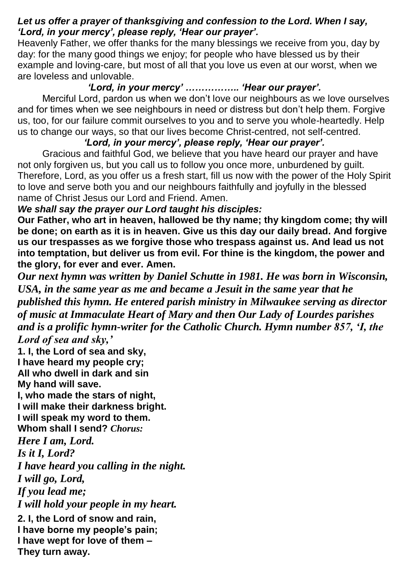#### *Let us offer a prayer of thanksgiving and confession to the Lord. When I say, 'Lord, in your mercy', please reply, 'Hear our prayer'.*

Heavenly Father, we offer thanks for the many blessings we receive from you, day by day: for the many good things we enjoy; for people who have blessed us by their example and loving-care, but most of all that you love us even at our worst, when we are loveless and unlovable.

### *'Lord, in your mercy' …………….. 'Hear our prayer'.*

Merciful Lord, pardon us when we don't love our neighbours as we love ourselves and for times when we see neighbours in need or distress but don't help them. Forgive us, too, for our failure commit ourselves to you and to serve you whole-heartedly. Help us to change our ways, so that our lives become Christ-centred, not self-centred.

## *'Lord, in your mercy', please reply, 'Hear our prayer'.*

Gracious and faithful God, we believe that you have heard our prayer and have not only forgiven us, but you call us to follow you once more, unburdened by guilt. Therefore, Lord, as you offer us a fresh start, fill us now with the power of the Holy Spirit to love and serve both you and our neighbours faithfully and joyfully in the blessed name of Christ Jesus our Lord and Friend. Amen.

### *We shall say the prayer our Lord taught his disciples:*

**Our Father, who art in heaven, hallowed be thy name; thy kingdom come; thy will be done; on earth as it is in heaven. Give us this day our daily bread. And forgive us our trespasses as we forgive those who trespass against us. And lead us not into temptation, but deliver us from evil. For thine is the kingdom, the power and the glory, for ever and ever. Amen.**

*Our next hymn was written by Daniel Schutte in 1981. He was born in Wisconsin, USA, in the same year as me and became a Jesuit in the same year that he published this hymn. He entered parish ministry in Milwaukee serving as director of music at Immaculate Heart of Mary and then Our Lady of Lourdes parishes and is a prolific hymn-writer for the Catholic Church. Hymn number 857, 'I, the Lord of sea and sky,'*

**1. I, the Lord of sea and sky, I have heard my people cry; All who dwell in dark and sin My hand will save. I, who made the stars of night, I will make their darkness bright. I will speak my word to them. Whom shall I send?** *Chorus: Here I am, Lord. Is it I, Lord? I have heard you calling in the night. I will go, Lord, If you lead me; I will hold your people in my heart.* **2. I, the Lord of snow and rain, I have borne my people's pain;**

**I have wept for love of them –**

**They turn away.**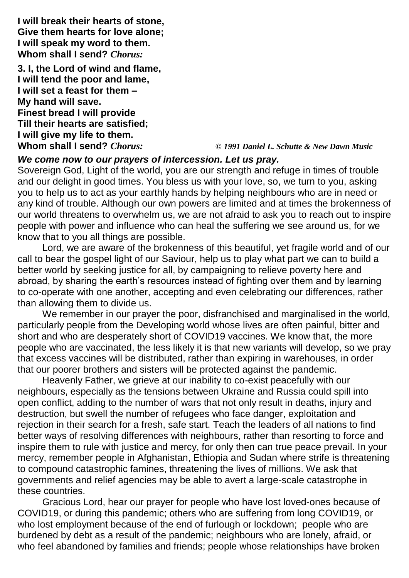**I will break their hearts of stone, Give them hearts for love alone; I will speak my word to them. Whom shall I send?** *Chorus:*

**3. I, the Lord of wind and flame, I will tend the poor and lame, I will set a feast for them – My hand will save. Finest bread I will provide Till their hearts are satisfied; I will give my life to them. Whom shall I send?** *Chorus: © 1991 Daniel L. Schutte & New Dawn Music*

#### *We come now to our prayers of intercession. Let us pray.*

Sovereign God, Light of the world, you are our strength and refuge in times of trouble and our delight in good times. You bless us with your love, so, we turn to you, asking you to help us to act as your earthly hands by helping neighbours who are in need or any kind of trouble. Although our own powers are limited and at times the brokenness of our world threatens to overwhelm us, we are not afraid to ask you to reach out to inspire people with power and influence who can heal the suffering we see around us, for we know that to you all things are possible.

Lord, we are aware of the brokenness of this beautiful, yet fragile world and of our call to bear the gospel light of our Saviour, help us to play what part we can to build a better world by seeking justice for all, by campaigning to relieve poverty here and abroad, by sharing the earth's resources instead of fighting over them and by learning to co-operate with one another, accepting and even celebrating our differences, rather than allowing them to divide us.

We remember in our prayer the poor, disfranchised and marginalised in the world, particularly people from the Developing world whose lives are often painful, bitter and short and who are desperately short of COVID19 vaccines. We know that, the more people who are vaccinated, the less likely it is that new variants will develop, so we pray that excess vaccines will be distributed, rather than expiring in warehouses, in order that our poorer brothers and sisters will be protected against the pandemic.

Heavenly Father, we grieve at our inability to co-exist peacefully with our neighbours, especially as the tensions between Ukraine and Russia could spill into open conflict, adding to the number of wars that not only result in deaths, injury and destruction, but swell the number of refugees who face danger, exploitation and rejection in their search for a fresh, safe start. Teach the leaders of all nations to find better ways of resolving differences with neighbours, rather than resorting to force and inspire them to rule with justice and mercy, for only then can true peace prevail. In your mercy, remember people in Afghanistan, Ethiopia and Sudan where strife is threatening to compound catastrophic famines, threatening the lives of millions. We ask that governments and relief agencies may be able to avert a large-scale catastrophe in these countries.

Gracious Lord, hear our prayer for people who have lost loved-ones because of COVID19, or during this pandemic; others who are suffering from long COVID19, or who lost employment because of the end of furlough or lockdown; people who are burdened by debt as a result of the pandemic; neighbours who are lonely, afraid, or who feel abandoned by families and friends; people whose relationships have broken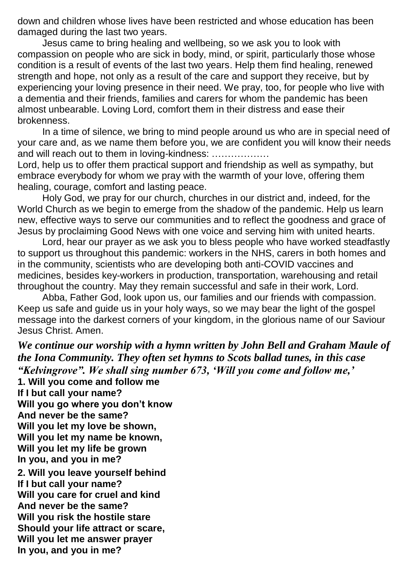down and children whose lives have been restricted and whose education has been damaged during the last two years.

Jesus came to bring healing and wellbeing, so we ask you to look with compassion on people who are sick in body, mind, or spirit, particularly those whose condition is a result of events of the last two years. Help them find healing, renewed strength and hope, not only as a result of the care and support they receive, but by experiencing your loving presence in their need. We pray, too, for people who live with a dementia and their friends, families and carers for whom the pandemic has been almost unbearable. Loving Lord, comfort them in their distress and ease their brokenness.

In a time of silence, we bring to mind people around us who are in special need of your care and, as we name them before you, we are confident you will know their needs and will reach out to them in loving-kindness: ………………

Lord, help us to offer them practical support and friendship as well as sympathy, but embrace everybody for whom we pray with the warmth of your love, offering them healing, courage, comfort and lasting peace.

Holy God, we pray for our church, churches in our district and, indeed, for the World Church as we begin to emerge from the shadow of the pandemic. Help us learn new, effective ways to serve our communities and to reflect the goodness and grace of Jesus by proclaiming Good News with one voice and serving him with united hearts.

Lord, hear our prayer as we ask you to bless people who have worked steadfastly to support us throughout this pandemic: workers in the NHS, carers in both homes and in the community, scientists who are developing both anti-COVID vaccines and medicines, besides key-workers in production, transportation, warehousing and retail throughout the country. May they remain successful and safe in their work, Lord.

Abba, Father God, look upon us, our families and our friends with compassion. Keep us safe and guide us in your holy ways, so we may bear the light of the gospel message into the darkest corners of your kingdom, in the glorious name of our Saviour Jesus Christ. Amen.

### *We continue our worship with a hymn written by John Bell and Graham Maule of the Iona Community. They often set hymns to Scots ballad tunes, in this case "Kelvingrove". We shall sing number 673, 'Will you come and follow me,'*

**1. Will you come and follow me If I but call your name? Will you go where you don't know And never be the same? Will you let my love be shown, Will you let my name be known, Will you let my life be grown In you, and you in me? 2. Will you leave yourself behind If I but call your name? Will you care for cruel and kind And never be the same? Will you risk the hostile stare Should your life attract or scare, Will you let me answer prayer In you, and you in me?**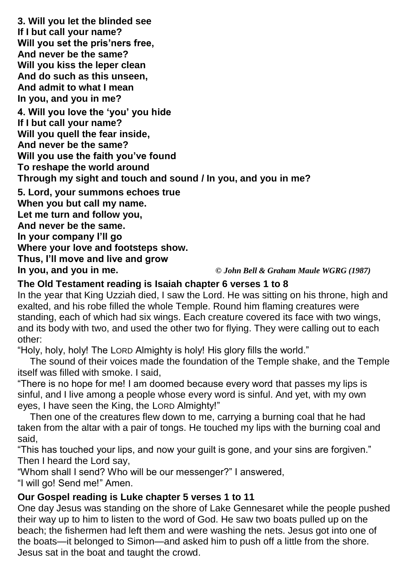**3. Will you let the blinded see If I but call your name? Will you set the pris'ners free, And never be the same? Will you kiss the leper clean And do such as this unseen, And admit to what I mean In you, and you in me? 4. Will you love the 'you' you hide If I but call your name? Will you quell the fear inside, And never be the same? Will you use the faith you've found To reshape the world around Through my sight and touch and sound / In you, and you in me? 5. Lord, your summons echoes true When you but call my name. Let me turn and follow you, And never be the same. In your company I'll go Where your love and footsteps show.**

**Thus, I'll move and live and grow**

**In you, and you in me.** *© John Bell & Graham Maule WGRG (1987)*

### **The Old Testament reading is Isaiah chapter 6 verses 1 to 8**

In the year that King Uzziah died, I saw the Lord. He was sitting on his throne, high and exalted, and his robe filled the whole Temple. Round him flaming creatures were standing, each of which had six wings. Each creature covered its face with two wings, and its body with two, and used the other two for flying. They were calling out to each other:

"Holy, holy, holy! The LORD Almighty is holy! His glory fills the world."

The sound of their voices made the foundation of the Temple shake, and the Temple itself was filled with smoke. I said,

"There is no hope for me! I am doomed because every word that passes my lips is sinful, and I live among a people whose every word is sinful. And yet, with my own eyes, I have seen the King, the LORD Almighty!"

Then one of the creatures flew down to me, carrying a burning coal that he had taken from the altar with a pair of tongs. He touched my lips with the burning coal and said,

"This has touched your lips, and now your guilt is gone, and your sins are forgiven." Then I heard the Lord say,

"Whom shall I send? Who will be our messenger?" I answered,

"I will go! Send me!" Amen.

# **Our Gospel reading is Luke chapter 5 verses 1 to 11**

One day Jesus was standing on the shore of Lake Gennesaret while the people pushed their way up to him to listen to the word of God. He saw two boats pulled up on the beach; the fishermen had left them and were washing the nets. Jesus got into one of the boats—it belonged to Simon—and asked him to push off a little from the shore. Jesus sat in the boat and taught the crowd.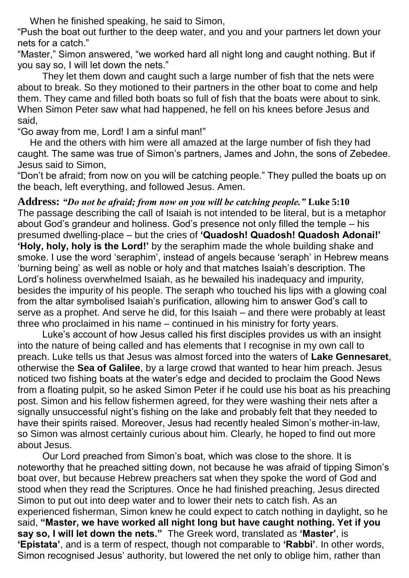When he finished speaking, he said to Simon,

"Push the boat out further to the deep water, and you and your partners let down your nets for a catch."

"Master," Simon answered, "we worked hard all night long and caught nothing. But if you say so, I will let down the nets."

They let them down and caught such a large number of fish that the nets were about to break. So they motioned to their partners in the other boat to come and help them. They came and filled both boats so full of fish that the boats were about to sink. When Simon Peter saw what had happened, he fell on his knees before Jesus and said,

"Go away from me, Lord! I am a sinful man!"

He and the others with him were all amazed at the large number of fish they had caught. The same was true of Simon's partners, James and John, the sons of Zebedee. Jesus said to Simon,

"Don't be afraid; from now on you will be catching people." They pulled the boats up on the beach, left everything, and followed Jesus. Amen.

**Address:** *"Do not be afraid; from now on you will be catching people."* **Luke 5:10** The passage describing the call of Isaiah is not intended to be literal, but is a metaphor about God's grandeur and holiness. God's presence not only filled the temple – his presumed dwelling-place – but the cries of **'Quadosh! Quadosh! Quadosh Adonai!' 'Holy, holy, holy is the Lord!'** by the seraphim made the whole building shake and smoke. I use the word 'seraphim', instead of angels because 'seraph' in Hebrew means 'burning being' as well as noble or holy and that matches Isaiah's description. The Lord's holiness overwhelmed Isaiah, as he bewailed his inadequacy and impurity, besides the impurity of his people. The seraph who touched his lips with a glowing coal from the altar symbolised Isaiah's purification, allowing him to answer God's call to serve as a prophet. And serve he did, for this Isaiah – and there were probably at least three who proclaimed in his name – continued in his ministry for forty years.

Luke's account of how Jesus called his first disciples provides us with an insight into the nature of being called and has elements that I recognise in my own call to preach. Luke tells us that Jesus was almost forced into the waters of **Lake Gennesaret**, otherwise the **Sea of Galilee**, by a large crowd that wanted to hear him preach. Jesus noticed two fishing boats at the water's edge and decided to proclaim the Good News from a floating pulpit, so he asked Simon Peter if he could use his boat as his preaching post. Simon and his fellow fishermen agreed, for they were washing their nets after a signally unsuccessful night's fishing on the lake and probably felt that they needed to have their spirits raised. Moreover, Jesus had recently healed Simon's mother-in-law, so Simon was almost certainly curious about him. Clearly, he hoped to find out more about Jesus.

Our Lord preached from Simon's boat, which was close to the shore. It is noteworthy that he preached sitting down, not because he was afraid of tipping Simon's boat over, but because Hebrew preachers sat when they spoke the word of God and stood when they read the Scriptures. Once he had finished preaching, Jesus directed Simon to put out into deep water and to lower their nets to catch fish. As an experienced fisherman, Simon knew he could expect to catch nothing in daylight, so he said, **"Master, we have worked all night long but have caught nothing. Yet if you say so, I will let down the nets."** The Greek word, translated as **'Master'**, is **'Epistata'**, and is a term of respect, though not comparable to **'Rabbi'**. In other words, Simon recognised Jesus' authority, but lowered the net only to oblige him, rather than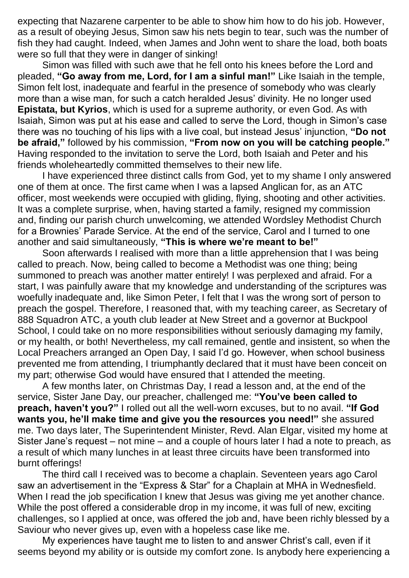expecting that Nazarene carpenter to be able to show him how to do his job. However, as a result of obeying Jesus, Simon saw his nets begin to tear, such was the number of fish they had caught. Indeed, when James and John went to share the load, both boats were so full that they were in danger of sinking!

Simon was filled with such awe that he fell onto his knees before the Lord and pleaded, **"Go away from me, Lord, for I am a sinful man!"** Like Isaiah in the temple, Simon felt lost, inadequate and fearful in the presence of somebody who was clearly more than a wise man, for such a catch heralded Jesus' divinity. He no longer used **Epistata, but Kyrios**, which is used for a supreme authority, or even God. As with Isaiah, Simon was put at his ease and called to serve the Lord, though in Simon's case there was no touching of his lips with a live coal, but instead Jesus' injunction, **"Do not be afraid,"** followed by his commission, **"From now on you will be catching people."**  Having responded to the invitation to serve the Lord, both Isaiah and Peter and his friends wholeheartedly committed themselves to their new life.

I have experienced three distinct calls from God, yet to my shame I only answered one of them at once. The first came when I was a lapsed Anglican for, as an ATC officer, most weekends were occupied with gliding, flying, shooting and other activities. It was a complete surprise, when, having started a family, resigned my commission and, finding our parish church unwelcoming, we attended Wordsley Methodist Church for a Brownies' Parade Service. At the end of the service, Carol and I turned to one another and said simultaneously, **"This is where we're meant to be!"**

Soon afterwards I realised with more than a little apprehension that I was being called to preach. Now, being called to become a Methodist was one thing; being summoned to preach was another matter entirely! I was perplexed and afraid. For a start, I was painfully aware that my knowledge and understanding of the scriptures was woefully inadequate and, like Simon Peter, I felt that I was the wrong sort of person to preach the gospel. Therefore, I reasoned that, with my teaching career, as Secretary of 888 Squadron ATC, a youth club leader at New Street and a governor at Buckpool School, I could take on no more responsibilities without seriously damaging my family, or my health, or both! Nevertheless, my call remained, gentle and insistent, so when the Local Preachers arranged an Open Day, I said I'd go. However, when school business prevented me from attending, I triumphantly declared that it must have been conceit on my part; otherwise God would have ensured that I attended the meeting.

A few months later, on Christmas Day, I read a lesson and, at the end of the service, Sister Jane Day, our preacher, challenged me: **"You've been called to preach, haven't you?"** I rolled out all the well-worn excuses, but to no avail. **"If God wants you, he'll make time and give you the resources you need!"** she assured me. Two days later, The Superintendent Minister, Revd. Alan Elgar, visited my home at Sister Jane's request – not mine – and a couple of hours later I had a note to preach, as a result of which many lunches in at least three circuits have been transformed into burnt offerings!

The third call I received was to become a chaplain. Seventeen years ago Carol saw an advertisement in the "Express & Star" for a Chaplain at MHA in Wednesfield. When I read the job specification I knew that Jesus was giving me yet another chance. While the post offered a considerable drop in my income, it was full of new, exciting challenges, so I applied at once, was offered the job and, have been richly blessed by a Saviour who never gives up, even with a hopeless case like me.

My experiences have taught me to listen to and answer Christ's call, even if it seems beyond my ability or is outside my comfort zone. Is anybody here experiencing a